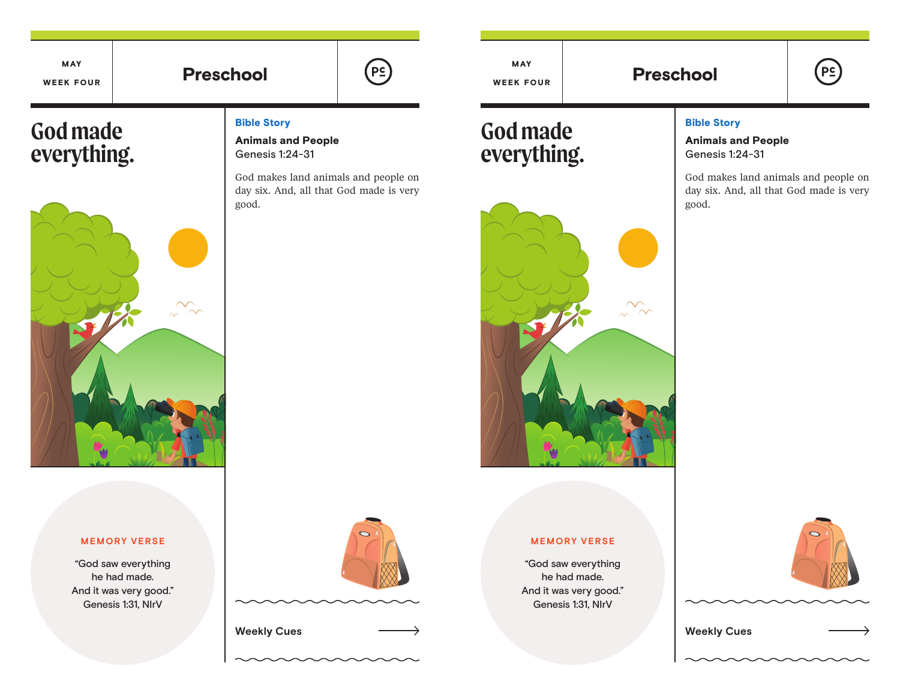MAY WEEK FOUR

# **Preschool**

# **God made everything.**



### Bible Story

Animals and People Genesis 1:24-31

God makes land animals and people on day six. And, all that God made is very good.

#### **MEMORY VERSE**

"God saw everything he had made. And it was very good." Genesis 1:31, NIrV



**Weekly Cues Weekly Cues**